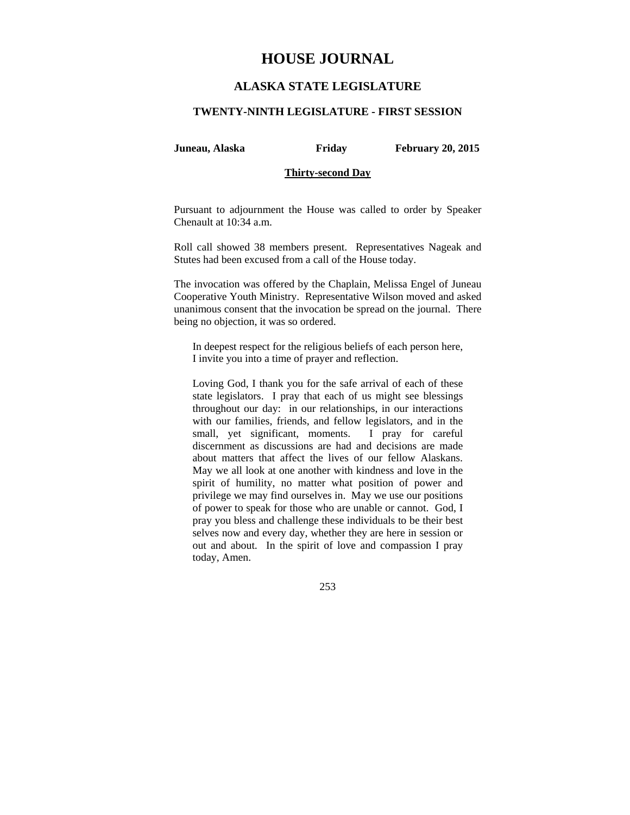# **HOUSE JOURNAL**

## **ALASKA STATE LEGISLATURE**

#### **TWENTY-NINTH LEGISLATURE - FIRST SESSION**

**Juneau, Alaska Friday February 20, 2015** 

### **Thirty-second Day**

Pursuant to adjournment the House was called to order by Speaker Chenault at 10:34 a.m.

Roll call showed 38 members present. Representatives Nageak and Stutes had been excused from a call of the House today.

The invocation was offered by the Chaplain, Melissa Engel of Juneau Cooperative Youth Ministry. Representative Wilson moved and asked unanimous consent that the invocation be spread on the journal. There being no objection, it was so ordered.

In deepest respect for the religious beliefs of each person here, I invite you into a time of prayer and reflection.

Loving God, I thank you for the safe arrival of each of these state legislators. I pray that each of us might see blessings throughout our day: in our relationships, in our interactions with our families, friends, and fellow legislators, and in the small, yet significant, moments. I pray for careful discernment as discussions are had and decisions are made about matters that affect the lives of our fellow Alaskans. May we all look at one another with kindness and love in the spirit of humility, no matter what position of power and privilege we may find ourselves in. May we use our positions of power to speak for those who are unable or cannot. God, I pray you bless and challenge these individuals to be their best selves now and every day, whether they are here in session or out and about. In the spirit of love and compassion I pray today, Amen.

253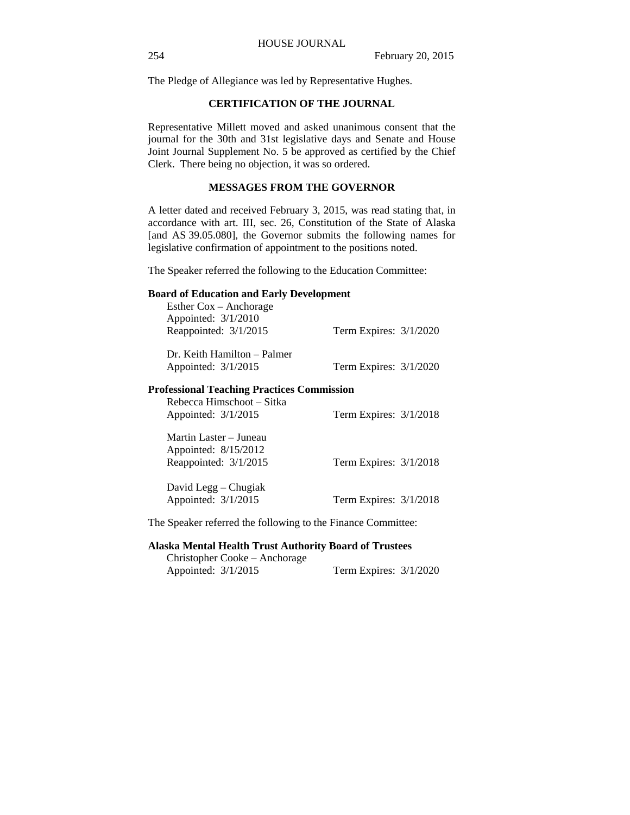The Pledge of Allegiance was led by Representative Hughes.

### **CERTIFICATION OF THE JOURNAL**

Representative Millett moved and asked unanimous consent that the journal for the 30th and 31st legislative days and Senate and House Joint Journal Supplement No. 5 be approved as certified by the Chief Clerk. There being no objection, it was so ordered.

### **MESSAGES FROM THE GOVERNOR**

A letter dated and received February 3, 2015, was read stating that, in accordance with art. III, sec. 26, Constitution of the State of Alaska [and AS 39.05.080], the Governor submits the following names for legislative confirmation of appointment to the positions noted.

The Speaker referred the following to the Education Committee:

#### **Board of Education and Early Development**

| Esther $\cos -$ Anchorage                  |                          |
|--------------------------------------------|--------------------------|
| Appointed: 3/1/2010                        |                          |
| Reappointed: 3/1/2015                      | Term Expires: $3/1/2020$ |
| Dr. Keith Hamilton – Palmer                |                          |
|                                            |                          |
| Appointed: $3/1/2015$                      | Term Expires: 3/1/2020   |
| Professional Teaching Practices Commission |                          |
| Rebecca Himschoot – Sitka                  |                          |
| Appointed: $3/1/2015$                      | Term Expires: $3/1/2018$ |
| Martin Laster – Juneau                     |                          |
| Appointed: 8/15/2012                       |                          |
| Reappointed: 3/1/2015                      | Term Expires: 3/1/2018   |
| David Legg – Chugiak                       |                          |
| Appointed: 3/1/2015                        | Term Expires: 3/1/2018   |

The Speaker referred the following to the Finance Committee:

### **Alaska Mental Health Trust Authority Board of Trustees**

Christopher Cooke – Anchorage Appointed: 3/1/2015 Term Expires: 3/1/2020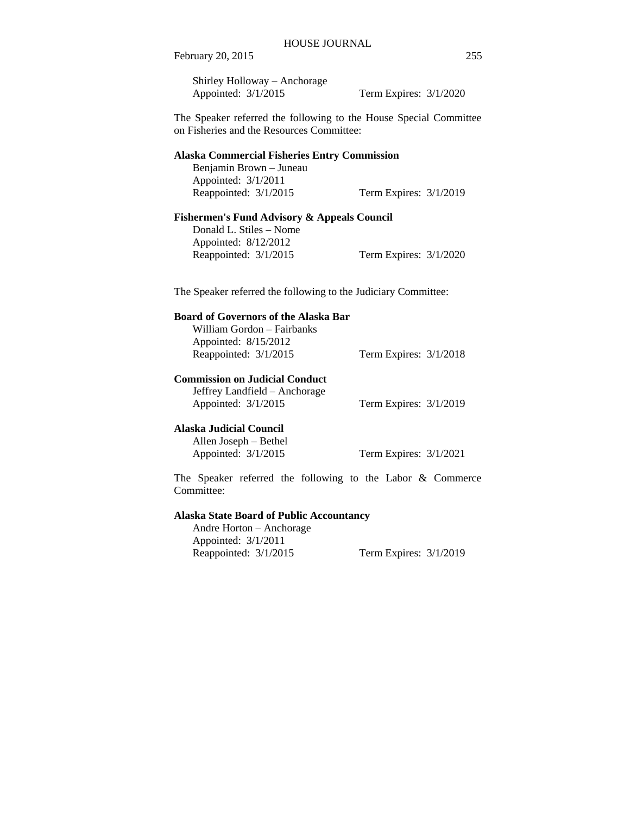Shirley Holloway – Anchorage Appointed: 3/1/2015 Term Expires: 3/1/2020

The Speaker referred the following to the House Special Committee on Fisheries and the Resources Committee:

#### **Alaska Commercial Fisheries Entry Commission**

Benjamin Brown – Juneau Appointed: 3/1/2011 Reappointed: 3/1/2015 Term Expires: 3/1/2019

#### **Fishermen's Fund Advisory & Appeals Council**

Donald L. Stiles – Nome Appointed: 8/12/2012 Reappointed: 3/1/2015 Term Expires: 3/1/2020

The Speaker referred the following to the Judiciary Committee:

### **Board of Governors of the Alaska Bar**

William Gordon – Fairbanks Appointed: 8/15/2012 Reappointed: 3/1/2015 Term Expires: 3/1/2018

### **Commission on Judicial Conduct**

Jeffrey Landfield – Anchorage Appointed: 3/1/2015 Term Expires: 3/1/2019

#### **Alaska Judicial Council**

Allen Joseph – Bethel Appointed: 3/1/2015 Term Expires: 3/1/2021

The Speaker referred the following to the Labor & Commerce Committee:

### **Alaska State Board of Public Accountancy**

Andre Horton – Anchorage Appointed: 3/1/2011 Reappointed: 3/1/2015 Term Expires: 3/1/2019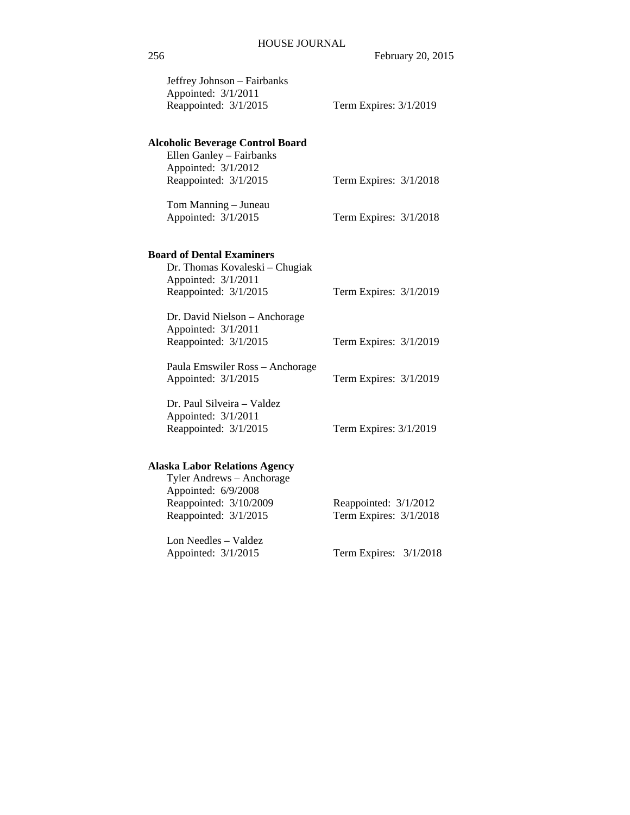| Jeffrey Johnson - Fairbanks<br>Appointed: 3/1/2011<br>Reappointed: 3/1/2015               | Term Expires: 3/1/2019                          |
|-------------------------------------------------------------------------------------------|-------------------------------------------------|
| <b>Alcoholic Beverage Control Board</b><br>Ellen Ganley - Fairbanks                       |                                                 |
| Appointed: 3/1/2012<br>Reappointed: 3/1/2015                                              | Term Expires: 3/1/2018                          |
| Tom Manning - Juneau<br>Appointed: 3/1/2015                                               | Term Expires: 3/1/2018                          |
| <b>Board of Dental Examiners</b><br>Dr. Thomas Kovaleski - Chugiak<br>Appointed: 3/1/2011 |                                                 |
| Reappointed: 3/1/2015                                                                     | Term Expires: 3/1/2019                          |
| Dr. David Nielson - Anchorage<br>Appointed: 3/1/2011<br>Reappointed: 3/1/2015             | Term Expires: 3/1/2019                          |
| Paula Emswiler Ross - Anchorage<br>Appointed: 3/1/2015                                    | Term Expires: 3/1/2019                          |
| Dr. Paul Silveira - Valdez<br>Appointed: 3/1/2011<br>Reappointed: 3/1/2015                | Term Expires: 3/1/2019                          |
| <b>Alaska Labor Relations Agency</b><br>Tyler Andrews - Anchorage<br>Appointed: 6/9/2008  |                                                 |
| Reappointed: 3/10/2009<br>Reappointed: 3/1/2015                                           | Reappointed: 3/1/2012<br>Term Expires: 3/1/2018 |
| Lon Needles - Valdez<br>Appointed: 3/1/2015                                               | Term Expires:<br>3/1/2018                       |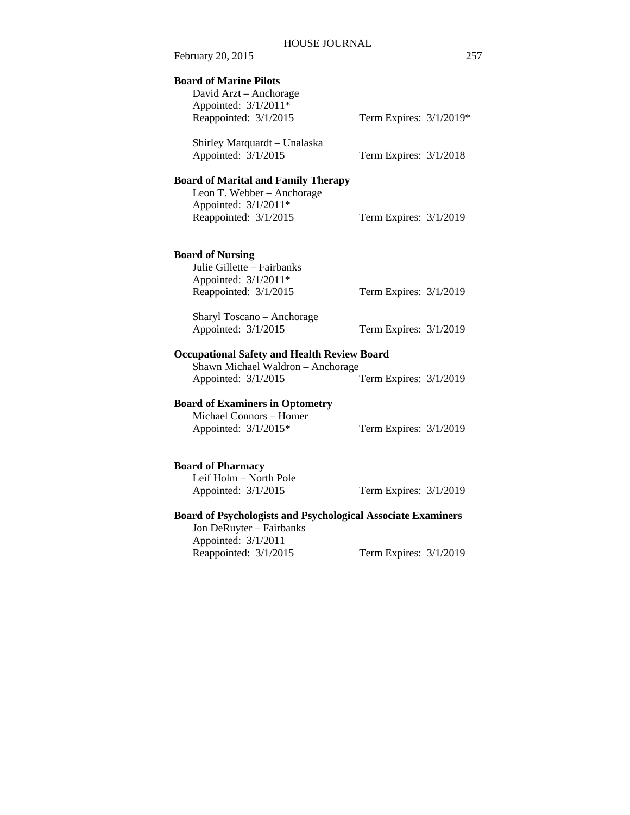| February 20, 2015                                                                                                         |                         | 257 |
|---------------------------------------------------------------------------------------------------------------------------|-------------------------|-----|
| <b>Board of Marine Pilots</b><br>David Arzt - Anchorage<br>Appointed: 3/1/2011*                                           |                         |     |
| Reappointed: 3/1/2015                                                                                                     | Term Expires: 3/1/2019* |     |
| Shirley Marquardt - Unalaska<br>Appointed: 3/1/2015                                                                       | Term Expires: 3/1/2018  |     |
| <b>Board of Marital and Family Therapy</b><br>Leon T. Webber - Anchorage<br>Appointed: 3/1/2011*<br>Reappointed: 3/1/2015 | Term Expires: 3/1/2019  |     |
| <b>Board of Nursing</b><br>Julie Gillette - Fairbanks<br>Appointed: 3/1/2011*<br>Reappointed: 3/1/2015                    | Term Expires: 3/1/2019  |     |
| Sharyl Toscano - Anchorage<br>Appointed: 3/1/2015                                                                         | Term Expires: 3/1/2019  |     |
| <b>Occupational Safety and Health Review Board</b><br>Shawn Michael Waldron - Anchorage                                   |                         |     |
| Appointed: 3/1/2015                                                                                                       | Term Expires: 3/1/2019  |     |
| <b>Board of Examiners in Optometry</b><br>Michael Connors - Homer<br>Appointed: 3/1/2015*                                 | Term Expires: 3/1/2019  |     |
| <b>Board of Pharmacy</b><br>Leif Holm - North Pole<br>Appointed: 3/1/2015                                                 | Term Expires: 3/1/2019  |     |
| <b>Board of Psychologists and Psychological Associate Examiners</b><br>Jon DeRuyter - Fairbanks                           |                         |     |

Appointed: 3/1/2011

# Term Expires: 3/1/2019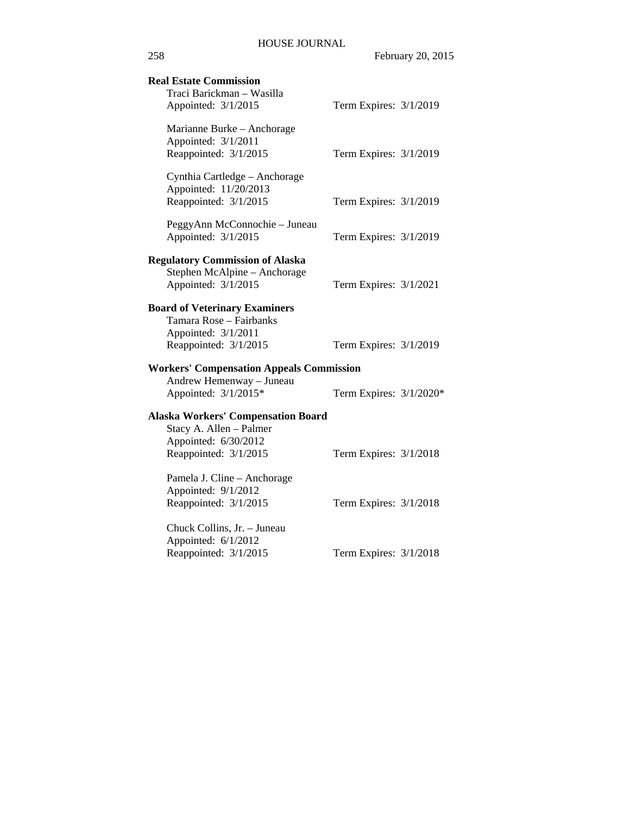| <b>Real Estate Commission</b><br>Traci Barickman - Wasilla<br>Appointed: 3/1/2015             | Term Expires: 3/1/2019  |  |
|-----------------------------------------------------------------------------------------------|-------------------------|--|
|                                                                                               |                         |  |
| Marianne Burke - Anchorage<br>Appointed: 3/1/2011<br>Reappointed: 3/1/2015                    | Term Expires: 3/1/2019  |  |
| Cynthia Cartledge - Anchorage<br>Appointed: 11/20/2013<br>Reappointed: 3/1/2015               | Term Expires: 3/1/2019  |  |
| PeggyAnn McConnochie - Juneau<br>Appointed: 3/1/2015                                          | Term Expires: 3/1/2019  |  |
| <b>Regulatory Commission of Alaska</b><br>Stephen McAlpine - Anchorage<br>Appointed: 3/1/2015 | Term Expires: 3/1/2021  |  |
| <b>Board of Veterinary Examiners</b>                                                          |                         |  |
| Tamara Rose - Fairbanks<br>Appointed: 3/1/2011                                                |                         |  |
| Reappointed: 3/1/2015                                                                         | Term Expires: 3/1/2019  |  |
| <b>Workers' Compensation Appeals Commission</b>                                               |                         |  |
| Andrew Hemenway - Juneau<br>Appointed: 3/1/2015*                                              | Term Expires: 3/1/2020* |  |
| <b>Alaska Workers' Compensation Board</b>                                                     |                         |  |
| Stacy A. Allen - Palmer<br>Appointed: 6/30/2012                                               |                         |  |
| Reappointed: 3/1/2015                                                                         | Term Expires: 3/1/2018  |  |
| Pamela J. Cline - Anchorage<br>Appointed: 9/1/2012                                            |                         |  |
| Reappointed: 3/1/2015                                                                         | Term Expires: 3/1/2018  |  |
| Chuck Collins, Jr. - Juneau<br>Appointed: 6/1/2012                                            |                         |  |
| Reappointed: 3/1/2015                                                                         | Term Expires: 3/1/2018  |  |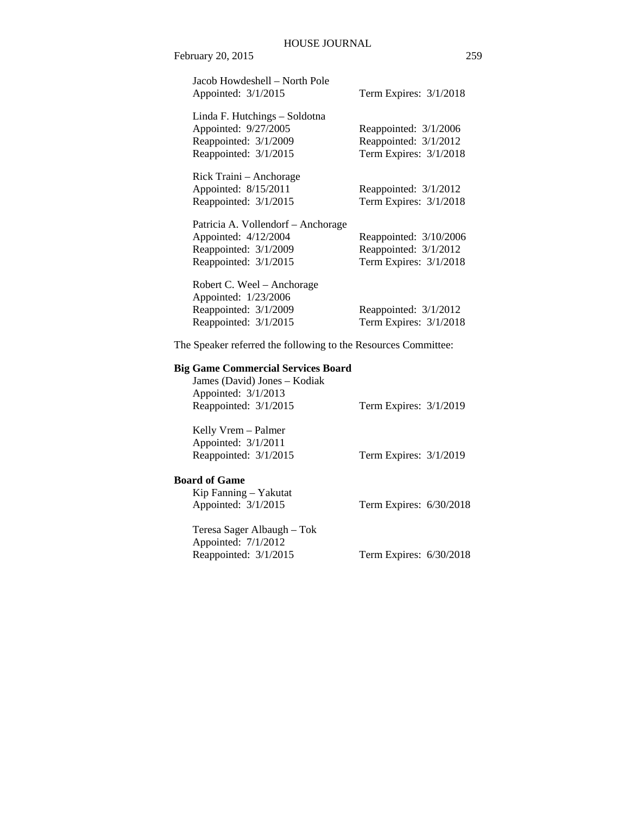| Jacob Howdeshell – North Pole<br>Appointed: 3/1/2015                     | Term Expires: $3/1/2018$                          |
|--------------------------------------------------------------------------|---------------------------------------------------|
| Linda F. Hutchings – Soldotna<br>Appointed: 9/27/2005                    | Reappointed: 3/1/2006                             |
| Reappointed: 3/1/2009                                                    | Reappointed: 3/1/2012                             |
| Reappointed: 3/1/2015                                                    | Term Expires: 3/1/2018                            |
| Rick Traini – Anchorage<br>Appointed: 8/15/2011<br>Reappointed: 3/1/2015 | Reappointed: $3/1/2012$<br>Term Expires: 3/1/2018 |
| Patricia A. Vollendorf – Anchorage                                       |                                                   |
| Appointed: 4/12/2004                                                     | Reappointed: 3/10/2006                            |
| Reappointed: 3/1/2009                                                    | Reappointed: $3/1/2012$                           |
| Reappointed: 3/1/2015                                                    | Term Expires: 3/1/2018                            |
| Robert C. Weel – Anchorage<br>Appointed: 1/23/2006                       |                                                   |
| Reappointed: 3/1/2009                                                    | Reappointed: $3/1/2012$                           |
| Reappointed: 3/1/2015                                                    | Term Expires: 3/1/2018                            |

The Speaker referred the following to the Resources Committee:

## **Big Game Commercial Services Board**

| James (David) Jones – Kodiak<br>Appointed: 3/1/2013<br>Reappointed: 3/1/2015 | Term Expires: $3/1/2019$ |
|------------------------------------------------------------------------------|--------------------------|
| Kelly Vrem – Palmer<br>Appointed: 3/1/2011<br>Reappointed: 3/1/2015          | Term Expires: 3/1/2019   |

## **Board of Game**

| Kip Fanning – Yakutat |                           |  |
|-----------------------|---------------------------|--|
| Appointed: $3/1/2015$ | Term Expires: $6/30/2018$ |  |

Teresa Sager Albaugh – Tok Appointed: 7/1/2012<br>Reappointed: 3/1/2015 Term Expires: 6/30/2018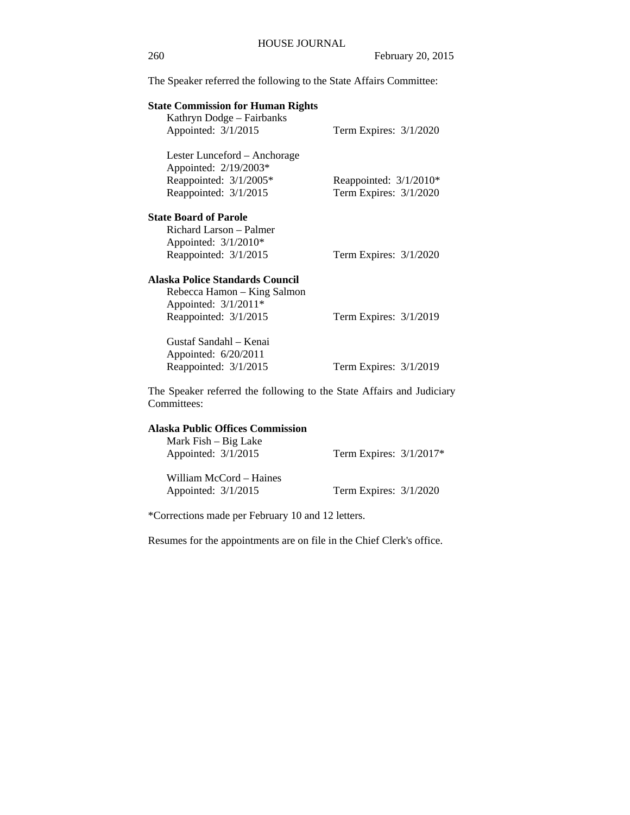The Speaker referred the following to the State Affairs Committee:

| <b>State Commission for Human Rights</b>                                                                        |                                                    |
|-----------------------------------------------------------------------------------------------------------------|----------------------------------------------------|
| Kathryn Dodge – Fairbanks                                                                                       |                                                    |
| Appointed: 3/1/2015                                                                                             | Term Expires: 3/1/2020                             |
| Lester Lunceford – Anchorage<br>Appointed: 2/19/2003*<br>Reappointed: 3/1/2005*<br>Reappointed: 3/1/2015        | Reappointed: $3/1/2010*$<br>Term Expires: 3/1/2020 |
| <b>State Board of Parole</b><br>Richard Larson – Palmer<br>Appointed: 3/1/2010*                                 |                                                    |
| Reappointed: 3/1/2015                                                                                           | Term Expires: $3/1/2020$                           |
| Alaska Police Standards Council<br>Rebecca Hamon – King Salmon<br>Appointed: 3/1/2011*<br>Reappointed: 3/1/2015 | Term Expires: 3/1/2019                             |
| Gustaf Sandahl – Kenai<br>Appointed: 6/20/2011<br>Reappointed: 3/1/2015                                         | Term Expires: 3/1/2019                             |
| The Speaker referred the following to the State Affairs and Judiciary<br>Committees:                            |                                                    |

### **Alaska Public Offices Commission**

| Mark Fish – Big Lake<br>Appointed: $3/1/2015$  | Term Expires: $3/1/2017*$ |
|------------------------------------------------|---------------------------|
| William McCord – Haines<br>Appointed: 3/1/2015 | Term Expires: $3/1/2020$  |

\*Corrections made per February 10 and 12 letters.

Resumes for the appointments are on file in the Chief Clerk's office.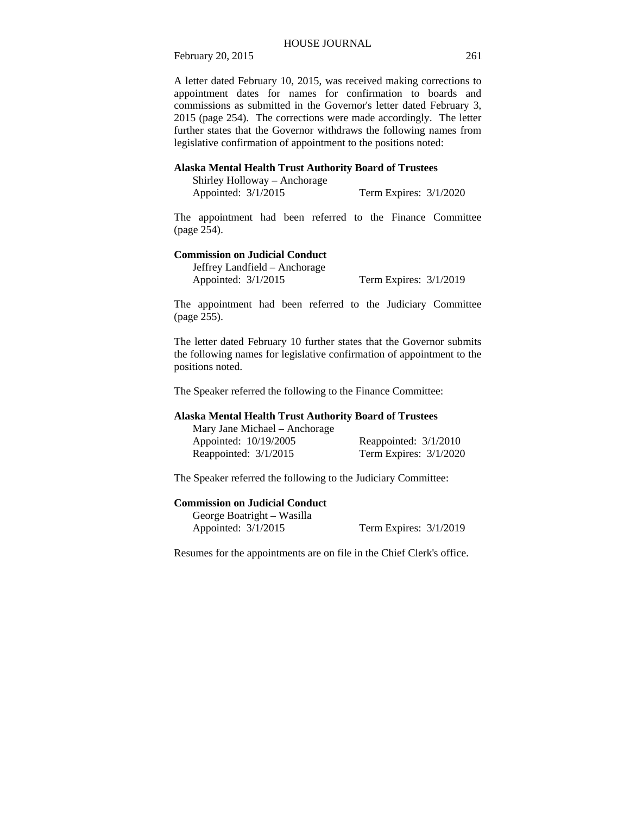A letter dated February 10, 2015, was received making corrections to appointment dates for names for confirmation to boards and commissions as submitted in the Governor's letter dated February 3, 2015 (page 254). The corrections were made accordingly. The letter further states that the Governor withdraws the following names from legislative confirmation of appointment to the positions noted:

#### **Alaska Mental Health Trust Authority Board of Trustees**

| Shirley Holloway – Anchorage |                          |  |
|------------------------------|--------------------------|--|
| Appointed: $3/1/2015$        | Term Expires: $3/1/2020$ |  |

The appointment had been referred to the Finance Committee (page 254).

#### **Commission on Judicial Conduct**

Jeffrey Landfield – Anchorage

Appointed: 3/1/2015 Term Expires: 3/1/2019

The appointment had been referred to the Judiciary Committee (page 255).

The letter dated February 10 further states that the Governor submits the following names for legislative confirmation of appointment to the positions noted.

The Speaker referred the following to the Finance Committee:

#### **Alaska Mental Health Trust Authority Board of Trustees**

| Mary Jane Michael – Anchorage |                          |
|-------------------------------|--------------------------|
| Appointed: 10/19/2005         | Reappointed: $3/1/2010$  |
| Reappointed: 3/1/2015         | Term Expires: $3/1/2020$ |

The Speaker referred the following to the Judiciary Committee:

### **Commission on Judicial Conduct**

George Boatright – Wasilla<br>Appointed:  $3/1/2015$ 

Term Expires:  $3/1/2019$ 

Resumes for the appointments are on file in the Chief Clerk's office.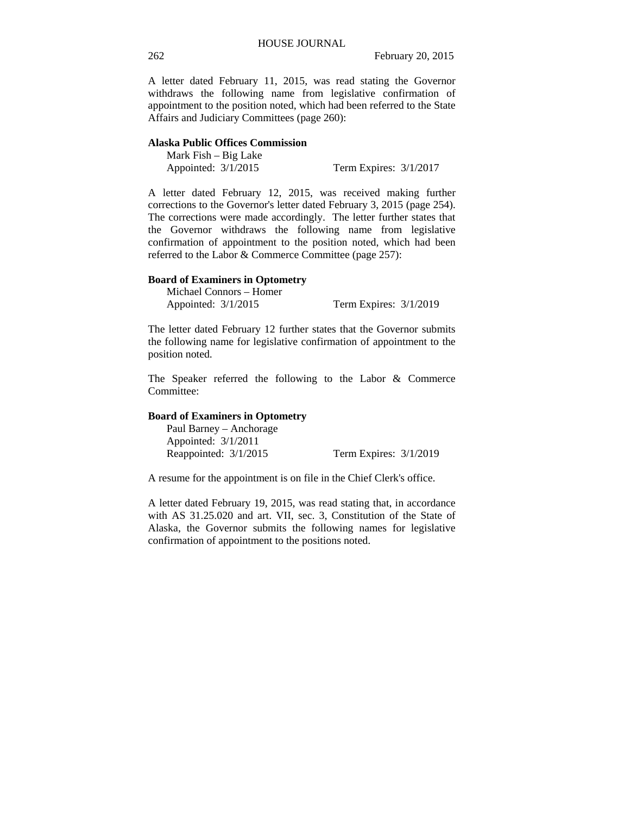A letter dated February 11, 2015, was read stating the Governor withdraws the following name from legislative confirmation of appointment to the position noted, which had been referred to the State Affairs and Judiciary Committees (page 260):

### **Alaska Public Offices Commission**

| Mark $Fish - Big Lake$ |                          |  |
|------------------------|--------------------------|--|
| Appointed: $3/1/2015$  | Term Expires: $3/1/2017$ |  |

A letter dated February 12, 2015, was received making further corrections to the Governor's letter dated February 3, 2015 (page 254). The corrections were made accordingly. The letter further states that the Governor withdraws the following name from legislative confirmation of appointment to the position noted, which had been referred to the Labor & Commerce Committee (page 257):

#### **Board of Examiners in Optometry**

Michael Connors – Homer Appointed: 3/1/2015 Term Expires: 3/1/2019

The letter dated February 12 further states that the Governor submits the following name for legislative confirmation of appointment to the position noted.

The Speaker referred the following to the Labor & Commerce Committee:

#### **Board of Examiners in Optometry**

Paul Barney – Anchorage Appointed: 3/1/2011 Reappointed: 3/1/2015 Term Expires: 3/1/2019

A resume for the appointment is on file in the Chief Clerk's office.

A letter dated February 19, 2015, was read stating that, in accordance with AS 31.25.020 and art. VII, sec. 3, Constitution of the State of Alaska, the Governor submits the following names for legislative confirmation of appointment to the positions noted.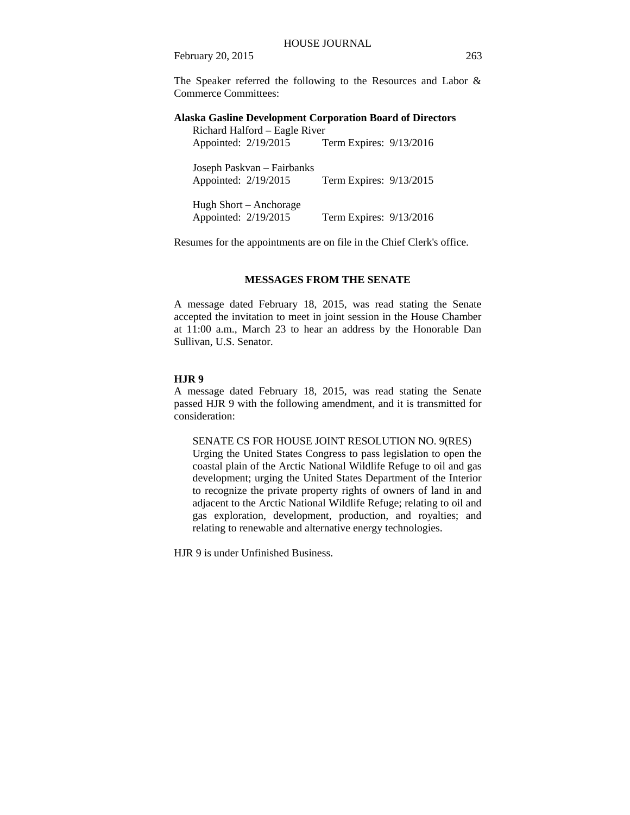The Speaker referred the following to the Resources and Labor & Commerce Committees:

### **Alaska Gasline Development Corporation Board of Directors**

| Richard Halford - Eagle River |                         |  |  |
|-------------------------------|-------------------------|--|--|
| Appointed: 2/19/2015          | Term Expires: 9/13/2016 |  |  |
|                               |                         |  |  |
| Joseph Paskvan – Fairbanks    |                         |  |  |
| Appointed: 2/19/2015          | Term Expires: 9/13/2015 |  |  |
|                               |                         |  |  |
| Hugh Short – Anchorage        |                         |  |  |
|                               |                         |  |  |
| Appointed: 2/19/2015          | Term Expires: 9/13/2016 |  |  |

Resumes for the appointments are on file in the Chief Clerk's office.

#### **MESSAGES FROM THE SENATE**

A message dated February 18, 2015, was read stating the Senate accepted the invitation to meet in joint session in the House Chamber at 11:00 a.m., March 23 to hear an address by the Honorable Dan Sullivan, U.S. Senator.

#### **HJR 9**

A message dated February 18, 2015, was read stating the Senate passed HJR 9 with the following amendment, and it is transmitted for consideration:

SENATE CS FOR HOUSE JOINT RESOLUTION NO. 9(RES)

Urging the United States Congress to pass legislation to open the coastal plain of the Arctic National Wildlife Refuge to oil and gas development; urging the United States Department of the Interior to recognize the private property rights of owners of land in and adjacent to the Arctic National Wildlife Refuge; relating to oil and gas exploration, development, production, and royalties; and relating to renewable and alternative energy technologies.

HJR 9 is under Unfinished Business.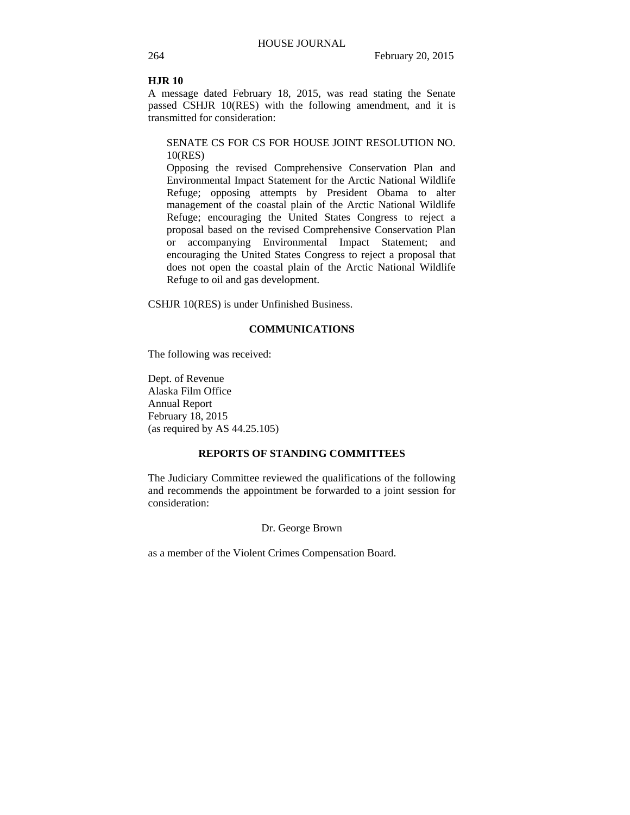#### **HJR 10**

A message dated February 18, 2015, was read stating the Senate passed CSHJR 10(RES) with the following amendment, and it is transmitted for consideration:

### SENATE CS FOR CS FOR HOUSE JOINT RESOLUTION NO. 10(RES)

Opposing the revised Comprehensive Conservation Plan and Environmental Impact Statement for the Arctic National Wildlife Refuge; opposing attempts by President Obama to alter management of the coastal plain of the Arctic National Wildlife Refuge; encouraging the United States Congress to reject a proposal based on the revised Comprehensive Conservation Plan or accompanying Environmental Impact Statement; and encouraging the United States Congress to reject a proposal that does not open the coastal plain of the Arctic National Wildlife Refuge to oil and gas development.

CSHJR 10(RES) is under Unfinished Business.

#### **COMMUNICATIONS**

The following was received:

Dept. of Revenue Alaska Film Office Annual Report February 18, 2015 (as required by AS 44.25.105)

### **REPORTS OF STANDING COMMITTEES**

The Judiciary Committee reviewed the qualifications of the following and recommends the appointment be forwarded to a joint session for consideration:

#### Dr. George Brown

as a member of the Violent Crimes Compensation Board.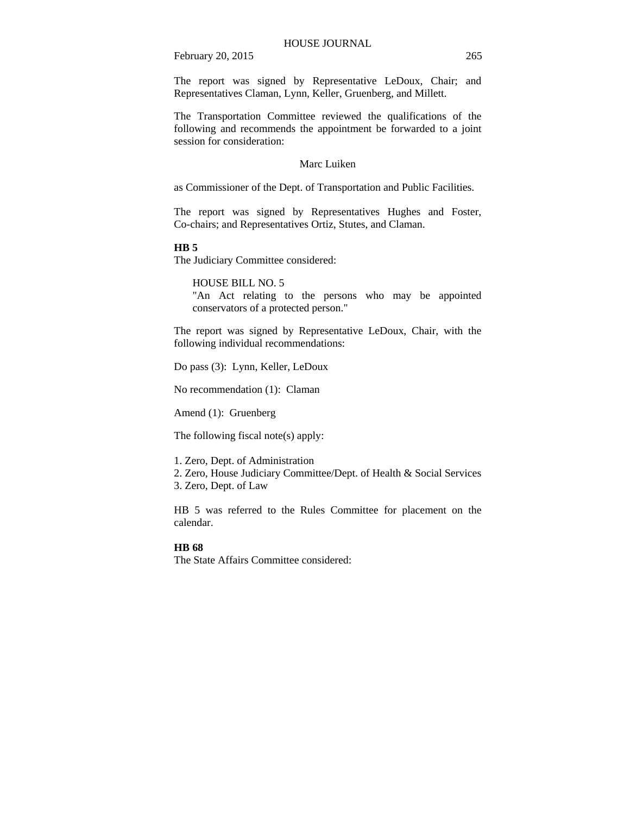The report was signed by Representative LeDoux, Chair; and Representatives Claman, Lynn, Keller, Gruenberg, and Millett.

The Transportation Committee reviewed the qualifications of the following and recommends the appointment be forwarded to a joint session for consideration:

### Marc Luiken

as Commissioner of the Dept. of Transportation and Public Facilities.

The report was signed by Representatives Hughes and Foster, Co-chairs; and Representatives Ortiz, Stutes, and Claman.

#### **HB 5**

The Judiciary Committee considered:

HOUSE BILL NO. 5

"An Act relating to the persons who may be appointed conservators of a protected person."

The report was signed by Representative LeDoux, Chair, with the following individual recommendations:

Do pass (3): Lynn, Keller, LeDoux

No recommendation (1): Claman

Amend (1): Gruenberg

The following fiscal note(s) apply:

1. Zero, Dept. of Administration

2. Zero, House Judiciary Committee/Dept. of Health & Social Services

3. Zero, Dept. of Law

HB 5 was referred to the Rules Committee for placement on the calendar.

#### **HB 68**

The State Affairs Committee considered: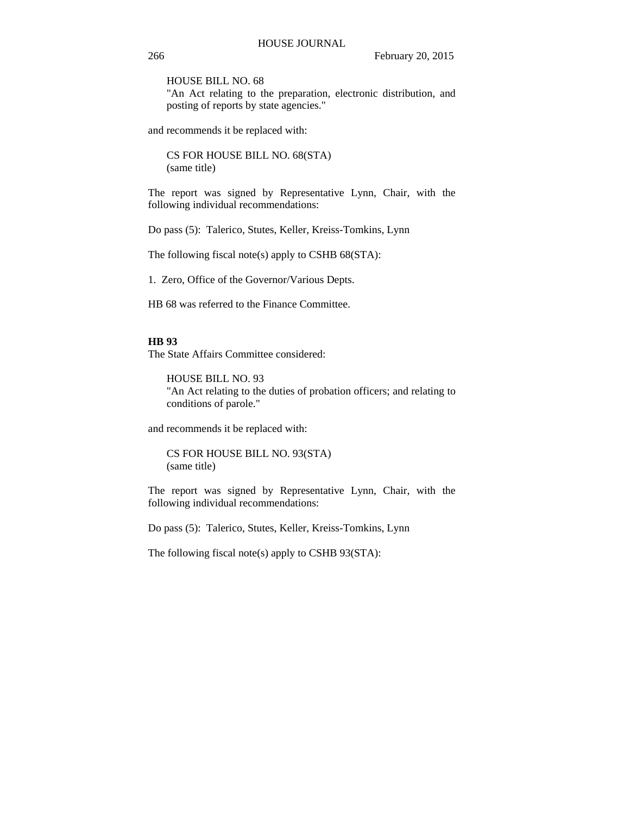HOUSE BILL NO. 68

"An Act relating to the preparation, electronic distribution, and posting of reports by state agencies."

and recommends it be replaced with:

CS FOR HOUSE BILL NO. 68(STA) (same title)

The report was signed by Representative Lynn, Chair, with the following individual recommendations:

Do pass (5): Talerico, Stutes, Keller, Kreiss-Tomkins, Lynn

The following fiscal note(s) apply to CSHB 68(STA):

1. Zero, Office of the Governor/Various Depts.

HB 68 was referred to the Finance Committee.

### **HB 93**

The State Affairs Committee considered:

HOUSE BILL NO. 93 "An Act relating to the duties of probation officers; and relating to conditions of parole."

and recommends it be replaced with:

CS FOR HOUSE BILL NO. 93(STA) (same title)

The report was signed by Representative Lynn, Chair, with the following individual recommendations:

Do pass (5): Talerico, Stutes, Keller, Kreiss-Tomkins, Lynn

The following fiscal note(s) apply to CSHB 93(STA):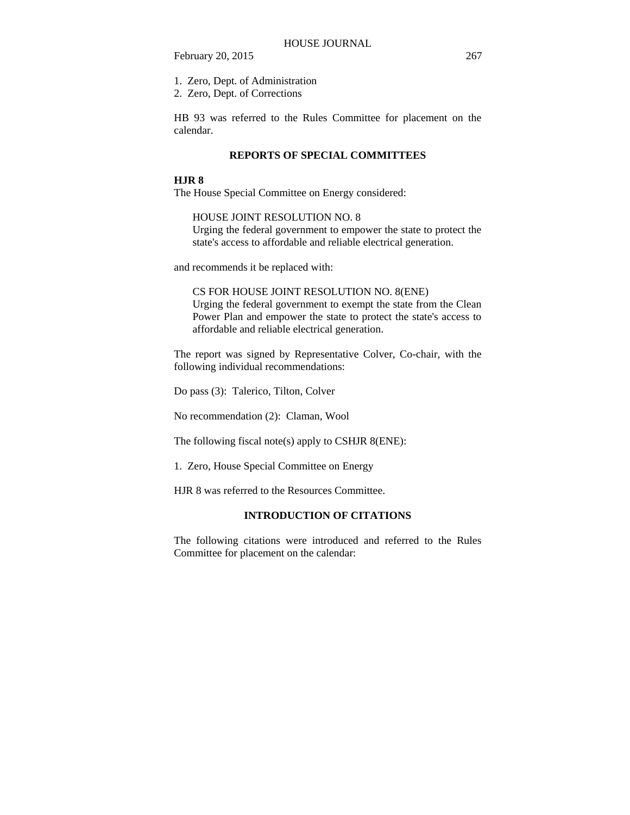1. Zero, Dept. of Administration

2. Zero, Dept. of Corrections

HB 93 was referred to the Rules Committee for placement on the calendar.

#### **REPORTS OF SPECIAL COMMITTEES**

#### **HJR 8**

The House Special Committee on Energy considered:

HOUSE JOINT RESOLUTION NO. 8

Urging the federal government to empower the state to protect the state's access to affordable and reliable electrical generation.

and recommends it be replaced with:

CS FOR HOUSE JOINT RESOLUTION NO. 8(ENE) Urging the federal government to exempt the state from the Clean Power Plan and empower the state to protect the state's access to affordable and reliable electrical generation.

The report was signed by Representative Colver, Co-chair, with the following individual recommendations:

Do pass (3): Talerico, Tilton, Colver

No recommendation (2): Claman, Wool

The following fiscal note(s) apply to CSHJR 8(ENE):

1. Zero, House Special Committee on Energy

HJR 8 was referred to the Resources Committee.

## **INTRODUCTION OF CITATIONS**

The following citations were introduced and referred to the Rules Committee for placement on the calendar: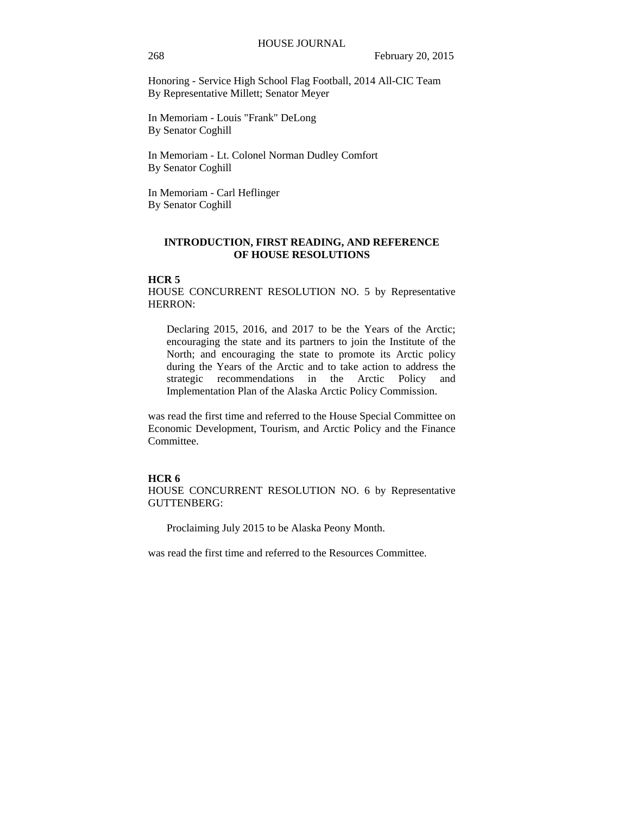Honoring - Service High School Flag Football, 2014 All-CIC Team By Representative Millett; Senator Meyer

In Memoriam - Louis "Frank" DeLong By Senator Coghill

In Memoriam - Lt. Colonel Norman Dudley Comfort By Senator Coghill

In Memoriam - Carl Heflinger By Senator Coghill

### **INTRODUCTION, FIRST READING, AND REFERENCE OF HOUSE RESOLUTIONS**

#### **HCR 5**

HOUSE CONCURRENT RESOLUTION NO. 5 by Representative HERRON:

Declaring 2015, 2016, and 2017 to be the Years of the Arctic; encouraging the state and its partners to join the Institute of the North; and encouraging the state to promote its Arctic policy during the Years of the Arctic and to take action to address the strategic recommendations in the Arctic Policy and Implementation Plan of the Alaska Arctic Policy Commission.

was read the first time and referred to the House Special Committee on Economic Development, Tourism, and Arctic Policy and the Finance Committee.

#### **HCR 6**

HOUSE CONCURRENT RESOLUTION NO. 6 by Representative GUTTENBERG:

Proclaiming July 2015 to be Alaska Peony Month.

was read the first time and referred to the Resources Committee.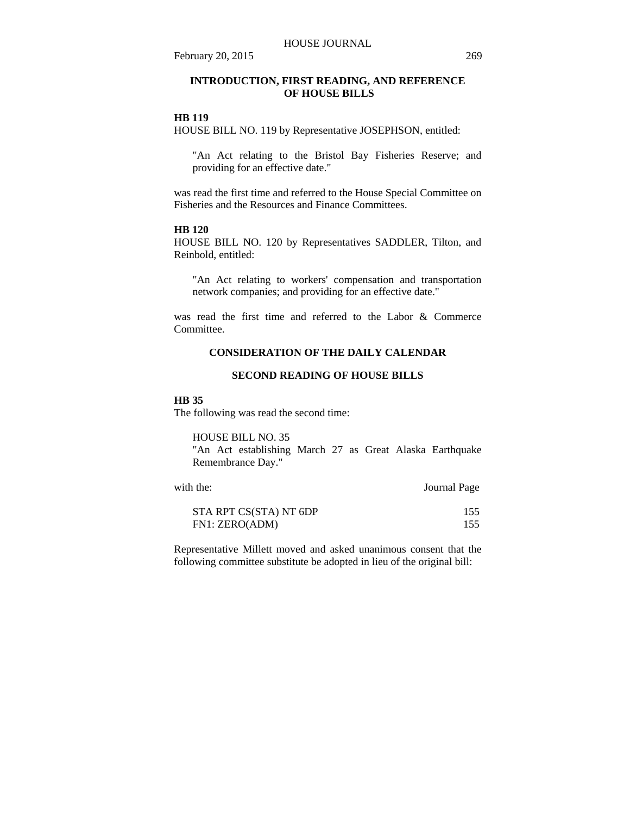**OF HOUSE BILLS** 

February 20, 2015 269

#### **HB 119**

HOUSE BILL NO. 119 by Representative JOSEPHSON, entitled:

"An Act relating to the Bristol Bay Fisheries Reserve; and providing for an effective date."

was read the first time and referred to the House Special Committee on Fisheries and the Resources and Finance Committees.

### **HB 120**

HOUSE BILL NO. 120 by Representatives SADDLER, Tilton, and Reinbold, entitled:

"An Act relating to workers' compensation and transportation network companies; and providing for an effective date."

was read the first time and referred to the Labor & Commerce Committee.

### **CONSIDERATION OF THE DAILY CALENDAR**

### **SECOND READING OF HOUSE BILLS**

#### **HB 35**

The following was read the second time:

HOUSE BILL NO. 35

"An Act establishing March 27 as Great Alaska Earthquake Remembrance Day."

| with the:              | Journal Page |  |
|------------------------|--------------|--|
| STA RPT CS(STA) NT 6DP | 155          |  |
| FN1: ZERO(ADM)         | 155          |  |

Representative Millett moved and asked unanimous consent that the following committee substitute be adopted in lieu of the original bill: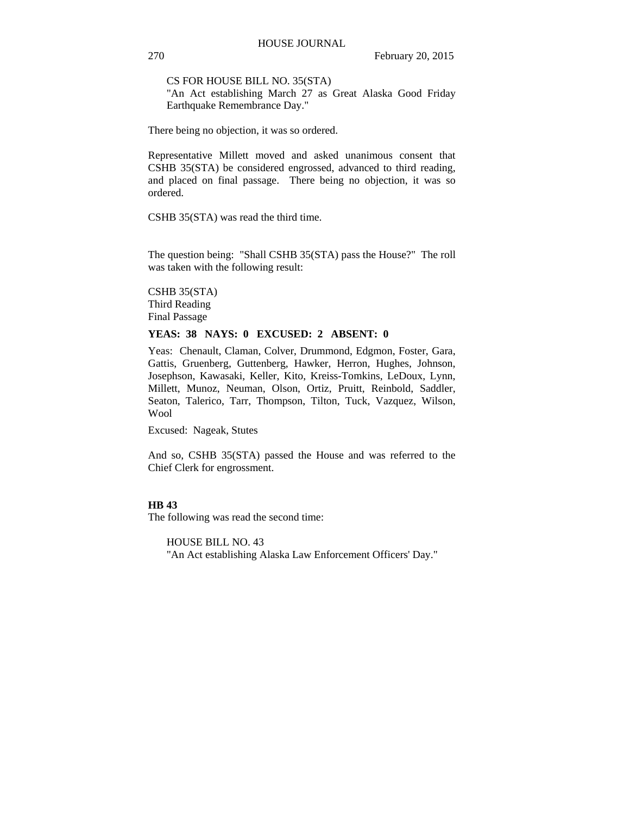CS FOR HOUSE BILL NO. 35(STA)

"An Act establishing March 27 as Great Alaska Good Friday Earthquake Remembrance Day."

There being no objection, it was so ordered.

Representative Millett moved and asked unanimous consent that CSHB 35(STA) be considered engrossed, advanced to third reading, and placed on final passage. There being no objection, it was so ordered.

CSHB 35(STA) was read the third time.

The question being: "Shall CSHB 35(STA) pass the House?" The roll was taken with the following result:

CSHB 35(STA) Third Reading Final Passage

### **YEAS: 38 NAYS: 0 EXCUSED: 2 ABSENT: 0**

Yeas: Chenault, Claman, Colver, Drummond, Edgmon, Foster, Gara, Gattis, Gruenberg, Guttenberg, Hawker, Herron, Hughes, Johnson, Josephson, Kawasaki, Keller, Kito, Kreiss-Tomkins, LeDoux, Lynn, Millett, Munoz, Neuman, Olson, Ortiz, Pruitt, Reinbold, Saddler, Seaton, Talerico, Tarr, Thompson, Tilton, Tuck, Vazquez, Wilson, Wool

Excused: Nageak, Stutes

And so, CSHB 35(STA) passed the House and was referred to the Chief Clerk for engrossment.

#### **HB 43**

The following was read the second time:

HOUSE BILL NO. 43 "An Act establishing Alaska Law Enforcement Officers' Day."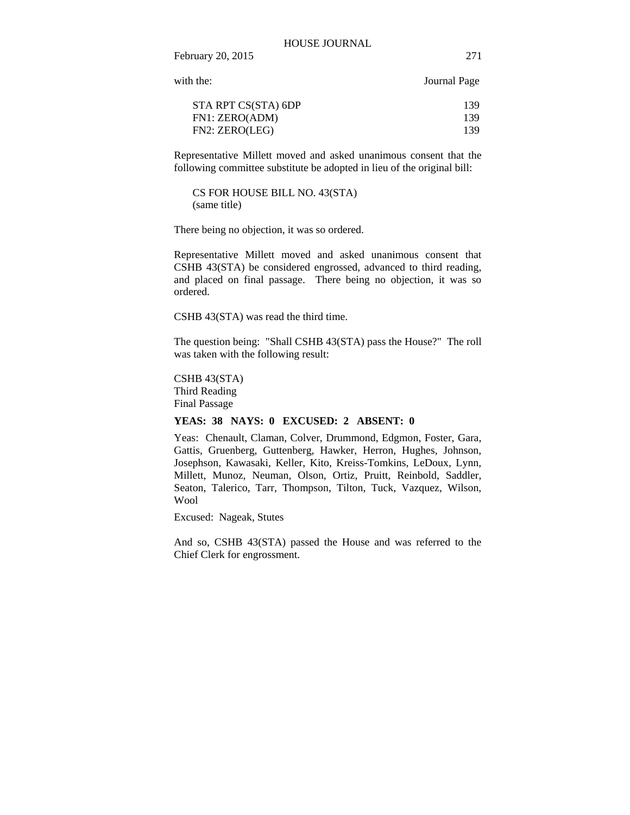with the: Journal Page

February 20, 2015 271

| STA RPT CS(STA) 6DP | 139 |
|---------------------|-----|
| FN1: ZERO(ADM)      | 139 |
| FN2: ZERO(LEG)      | 139 |
|                     |     |

Representative Millett moved and asked unanimous consent that the following committee substitute be adopted in lieu of the original bill:

CS FOR HOUSE BILL NO. 43(STA) (same title)

There being no objection, it was so ordered.

Representative Millett moved and asked unanimous consent that CSHB 43(STA) be considered engrossed, advanced to third reading, and placed on final passage. There being no objection, it was so ordered.

CSHB 43(STA) was read the third time.

The question being: "Shall CSHB 43(STA) pass the House?" The roll was taken with the following result:

CSHB 43(STA) Third Reading Final Passage

#### **YEAS: 38 NAYS: 0 EXCUSED: 2 ABSENT: 0**

Yeas: Chenault, Claman, Colver, Drummond, Edgmon, Foster, Gara, Gattis, Gruenberg, Guttenberg, Hawker, Herron, Hughes, Johnson, Josephson, Kawasaki, Keller, Kito, Kreiss-Tomkins, LeDoux, Lynn, Millett, Munoz, Neuman, Olson, Ortiz, Pruitt, Reinbold, Saddler, Seaton, Talerico, Tarr, Thompson, Tilton, Tuck, Vazquez, Wilson, Wool

Excused: Nageak, Stutes

And so, CSHB 43(STA) passed the House and was referred to the Chief Clerk for engrossment.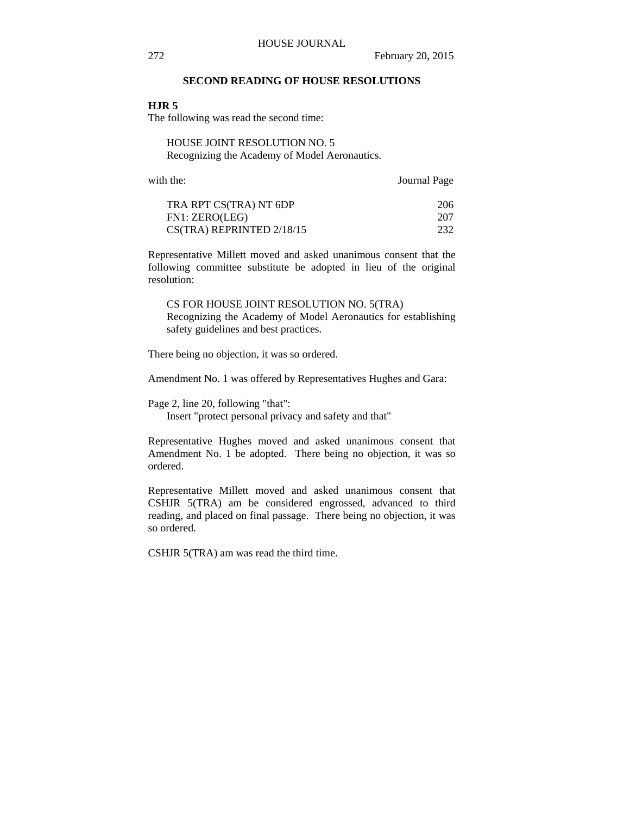### **SECOND READING OF HOUSE RESOLUTIONS**

#### **HJR 5**

The following was read the second time:

HOUSE JOINT RESOLUTION NO. 5 Recognizing the Academy of Model Aeronautics.

with the: **Journal Page** 

| TRA RPT CS(TRA) NT 6DP        | 206 |
|-------------------------------|-----|
| FN1: ZERO(LEG)                | 207 |
| $CS(TRA)$ REPRINTED $2/18/15$ | 232 |

Representative Millett moved and asked unanimous consent that the following committee substitute be adopted in lieu of the original resolution:

CS FOR HOUSE JOINT RESOLUTION NO. 5(TRA) Recognizing the Academy of Model Aeronautics for establishing safety guidelines and best practices.

There being no objection, it was so ordered.

Amendment No. 1 was offered by Representatives Hughes and Gara:

Page 2, line 20, following "that":

Insert "protect personal privacy and safety and that"

Representative Hughes moved and asked unanimous consent that Amendment No. 1 be adopted. There being no objection, it was so ordered.

Representative Millett moved and asked unanimous consent that CSHJR 5(TRA) am be considered engrossed, advanced to third reading, and placed on final passage. There being no objection, it was so ordered.

CSHJR 5(TRA) am was read the third time.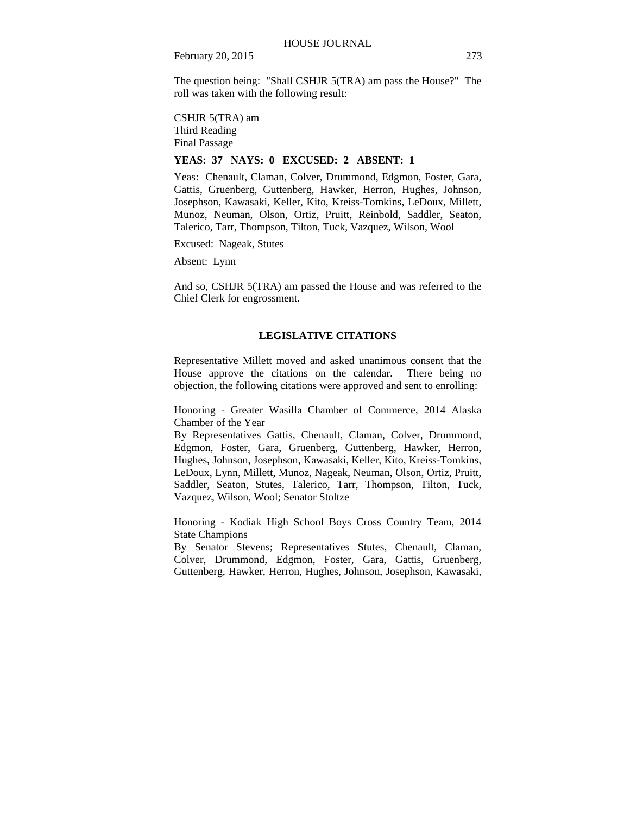The question being: "Shall CSHJR 5(TRA) am pass the House?" The roll was taken with the following result:

CSHJR 5(TRA) am Third Reading Final Passage

#### **YEAS: 37 NAYS: 0 EXCUSED: 2 ABSENT: 1**

Yeas: Chenault, Claman, Colver, Drummond, Edgmon, Foster, Gara, Gattis, Gruenberg, Guttenberg, Hawker, Herron, Hughes, Johnson, Josephson, Kawasaki, Keller, Kito, Kreiss-Tomkins, LeDoux, Millett, Munoz, Neuman, Olson, Ortiz, Pruitt, Reinbold, Saddler, Seaton, Talerico, Tarr, Thompson, Tilton, Tuck, Vazquez, Wilson, Wool

Excused: Nageak, Stutes

Absent: Lynn

And so, CSHJR 5(TRA) am passed the House and was referred to the Chief Clerk for engrossment.

#### **LEGISLATIVE CITATIONS**

Representative Millett moved and asked unanimous consent that the House approve the citations on the calendar. There being no objection, the following citations were approved and sent to enrolling:

Honoring - Greater Wasilla Chamber of Commerce, 2014 Alaska Chamber of the Year

By Representatives Gattis, Chenault, Claman, Colver, Drummond, Edgmon, Foster, Gara, Gruenberg, Guttenberg, Hawker, Herron, Hughes, Johnson, Josephson, Kawasaki, Keller, Kito, Kreiss-Tomkins, LeDoux, Lynn, Millett, Munoz, Nageak, Neuman, Olson, Ortiz, Pruitt, Saddler, Seaton, Stutes, Talerico, Tarr, Thompson, Tilton, Tuck, Vazquez, Wilson, Wool; Senator Stoltze

Honoring - Kodiak High School Boys Cross Country Team, 2014 State Champions

By Senator Stevens; Representatives Stutes, Chenault, Claman, Colver, Drummond, Edgmon, Foster, Gara, Gattis, Gruenberg, Guttenberg, Hawker, Herron, Hughes, Johnson, Josephson, Kawasaki,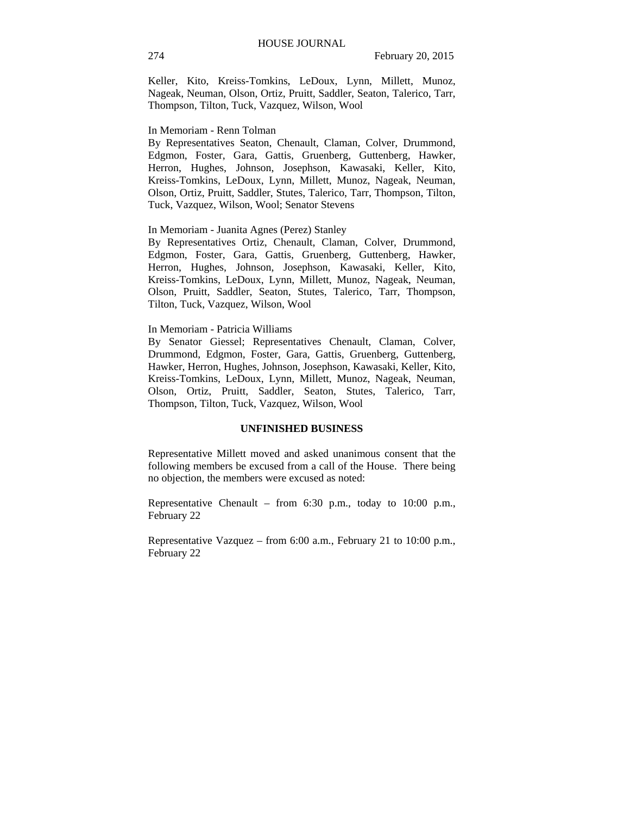Keller, Kito, Kreiss-Tomkins, LeDoux, Lynn, Millett, Munoz, Nageak, Neuman, Olson, Ortiz, Pruitt, Saddler, Seaton, Talerico, Tarr, Thompson, Tilton, Tuck, Vazquez, Wilson, Wool

#### In Memoriam - Renn Tolman

By Representatives Seaton, Chenault, Claman, Colver, Drummond, Edgmon, Foster, Gara, Gattis, Gruenberg, Guttenberg, Hawker, Herron, Hughes, Johnson, Josephson, Kawasaki, Keller, Kito, Kreiss-Tomkins, LeDoux, Lynn, Millett, Munoz, Nageak, Neuman, Olson, Ortiz, Pruitt, Saddler, Stutes, Talerico, Tarr, Thompson, Tilton, Tuck, Vazquez, Wilson, Wool; Senator Stevens

#### In Memoriam - Juanita Agnes (Perez) Stanley

By Representatives Ortiz, Chenault, Claman, Colver, Drummond, Edgmon, Foster, Gara, Gattis, Gruenberg, Guttenberg, Hawker, Herron, Hughes, Johnson, Josephson, Kawasaki, Keller, Kito, Kreiss-Tomkins, LeDoux, Lynn, Millett, Munoz, Nageak, Neuman, Olson, Pruitt, Saddler, Seaton, Stutes, Talerico, Tarr, Thompson, Tilton, Tuck, Vazquez, Wilson, Wool

#### In Memoriam - Patricia Williams

By Senator Giessel; Representatives Chenault, Claman, Colver, Drummond, Edgmon, Foster, Gara, Gattis, Gruenberg, Guttenberg, Hawker, Herron, Hughes, Johnson, Josephson, Kawasaki, Keller, Kito, Kreiss-Tomkins, LeDoux, Lynn, Millett, Munoz, Nageak, Neuman, Olson, Ortiz, Pruitt, Saddler, Seaton, Stutes, Talerico, Tarr, Thompson, Tilton, Tuck, Vazquez, Wilson, Wool

#### **UNFINISHED BUSINESS**

Representative Millett moved and asked unanimous consent that the following members be excused from a call of the House. There being no objection, the members were excused as noted:

Representative Chenault – from 6:30 p.m., today to 10:00 p.m., February 22

Representative Vazquez – from 6:00 a.m., February 21 to 10:00 p.m., February 22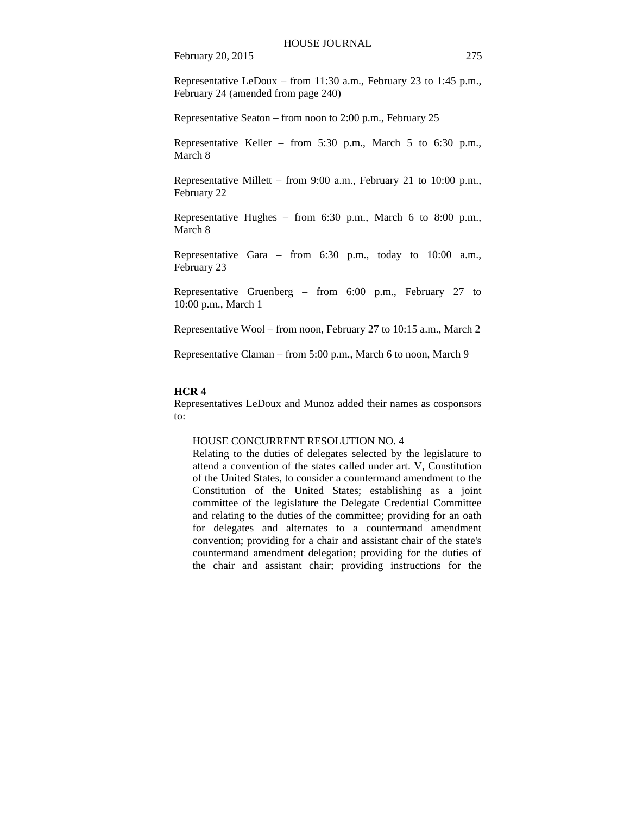Representative LeDoux – from 11:30 a.m., February 23 to 1:45 p.m., February 24 (amended from page 240)

Representative Seaton – from noon to 2:00 p.m., February 25

Representative Keller – from 5:30 p.m., March 5 to 6:30 p.m., March 8

Representative Millett – from 9:00 a.m., February 21 to 10:00 p.m., February 22

Representative Hughes – from 6:30 p.m., March 6 to 8:00 p.m., March 8

Representative Gara – from 6:30 p.m., today to 10:00 a.m., February 23

Representative Gruenberg – from 6:00 p.m., February 27 to 10:00 p.m., March 1

Representative Wool – from noon, February 27 to 10:15 a.m., March 2

Representative Claman – from 5:00 p.m., March 6 to noon, March 9

#### **HCR 4**

Representatives LeDoux and Munoz added their names as cosponsors to:

#### HOUSE CONCURRENT RESOLUTION NO. 4

Relating to the duties of delegates selected by the legislature to attend a convention of the states called under art. V, Constitution of the United States, to consider a countermand amendment to the Constitution of the United States; establishing as a joint committee of the legislature the Delegate Credential Committee and relating to the duties of the committee; providing for an oath for delegates and alternates to a countermand amendment convention; providing for a chair and assistant chair of the state's countermand amendment delegation; providing for the duties of the chair and assistant chair; providing instructions for the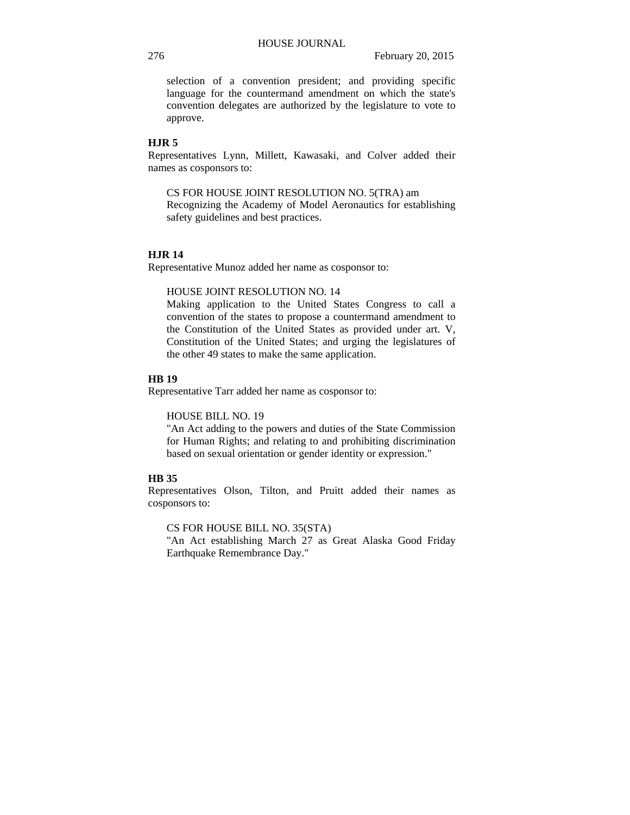selection of a convention president; and providing specific language for the countermand amendment on which the state's convention delegates are authorized by the legislature to vote to approve.

### **HJR 5**

Representatives Lynn, Millett, Kawasaki, and Colver added their names as cosponsors to:

CS FOR HOUSE JOINT RESOLUTION NO. 5(TRA) am

Recognizing the Academy of Model Aeronautics for establishing safety guidelines and best practices.

### **HJR 14**

Representative Munoz added her name as cosponsor to:

HOUSE JOINT RESOLUTION NO. 14

Making application to the United States Congress to call a convention of the states to propose a countermand amendment to the Constitution of the United States as provided under art. V, Constitution of the United States; and urging the legislatures of the other 49 states to make the same application.

### **HB 19**

Representative Tarr added her name as cosponsor to:

HOUSE BILL NO. 19

"An Act adding to the powers and duties of the State Commission for Human Rights; and relating to and prohibiting discrimination based on sexual orientation or gender identity or expression."

### **HB 35**

Representatives Olson, Tilton, and Pruitt added their names as cosponsors to:

CS FOR HOUSE BILL NO. 35(STA)

"An Act establishing March 27 as Great Alaska Good Friday Earthquake Remembrance Day."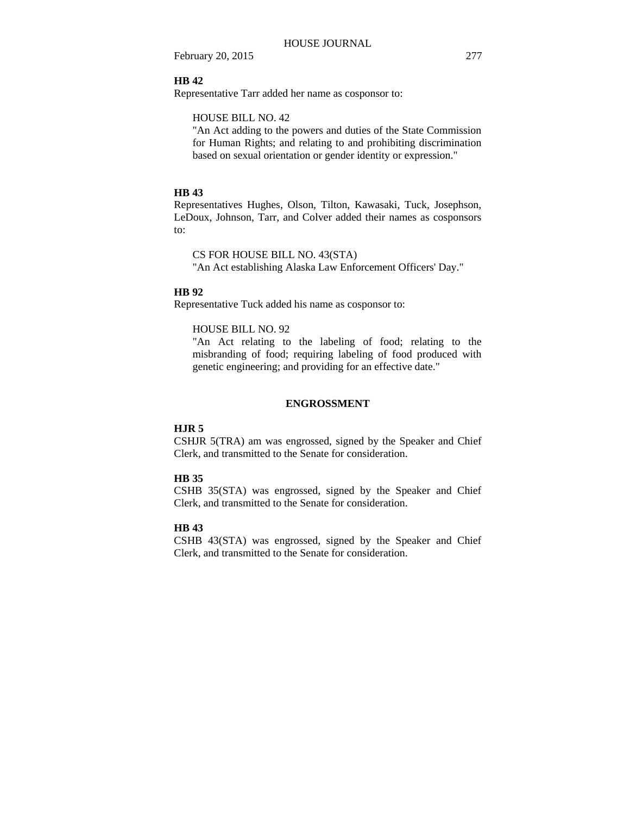### **HB 42**

Representative Tarr added her name as cosponsor to:

### HOUSE BILL NO. 42

"An Act adding to the powers and duties of the State Commission for Human Rights; and relating to and prohibiting discrimination based on sexual orientation or gender identity or expression."

### **HB 43**

Representatives Hughes, Olson, Tilton, Kawasaki, Tuck, Josephson, LeDoux, Johnson, Tarr, and Colver added their names as cosponsors to:

CS FOR HOUSE BILL NO. 43(STA)

"An Act establishing Alaska Law Enforcement Officers' Day."

### **HB 92**

Representative Tuck added his name as cosponsor to:

#### HOUSE BILL NO. 92

"An Act relating to the labeling of food; relating to the misbranding of food; requiring labeling of food produced with genetic engineering; and providing for an effective date."

#### **ENGROSSMENT**

#### **HJR 5**

CSHJR 5(TRA) am was engrossed, signed by the Speaker and Chief Clerk, and transmitted to the Senate for consideration.

#### **HB 35**

CSHB 35(STA) was engrossed, signed by the Speaker and Chief Clerk, and transmitted to the Senate for consideration.

### **HB 43**

CSHB 43(STA) was engrossed, signed by the Speaker and Chief Clerk, and transmitted to the Senate for consideration.